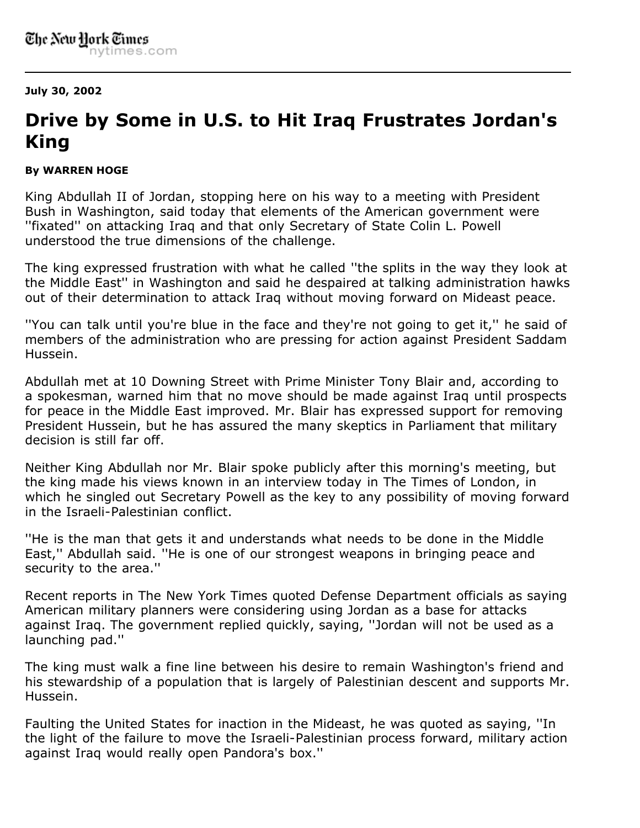**July 30, 2002**

## **Drive by Some in U.S. to Hit Iraq Frustrates Jordan's King**

## **By WARREN HOGE**

King Abdullah II of Jordan, stopping here on his way to a meeting with President Bush in Washington, said today that elements of the American government were ''fixated'' on attacking Iraq and that only Secretary of State Colin L. Powell understood the true dimensions of the challenge.

The king expressed frustration with what he called ''the splits in the way they look at the Middle East'' in Washington and said he despaired at talking administration hawks out of their determination to attack Iraq without moving forward on Mideast peace.

''You can talk until you're blue in the face and they're not going to get it,'' he said of members of the administration who are pressing for action against President Saddam Hussein.

Abdullah met at 10 Downing Street with Prime Minister Tony Blair and, according to a spokesman, warned him that no move should be made against Iraq until prospects for peace in the Middle East improved. Mr. Blair has expressed support for removing President Hussein, but he has assured the many skeptics in Parliament that military decision is still far off.

Neither King Abdullah nor Mr. Blair spoke publicly after this morning's meeting, but the king made his views known in an interview today in The Times of London, in which he singled out Secretary Powell as the key to any possibility of moving forward in the Israeli-Palestinian conflict.

''He is the man that gets it and understands what needs to be done in the Middle East,'' Abdullah said. ''He is one of our strongest weapons in bringing peace and security to the area.''

Recent reports in The New York Times quoted Defense Department officials as saying American military planners were considering using Jordan as a base for attacks against Iraq. The government replied quickly, saying, ''Jordan will not be used as a launching pad.''

The king must walk a fine line between his desire to remain Washington's friend and his stewardship of a population that is largely of Palestinian descent and supports Mr. Hussein.

Faulting the United States for inaction in the Mideast, he was quoted as saying, ''In the light of the failure to move the Israeli-Palestinian process forward, military action against Iraq would really open Pandora's box.''